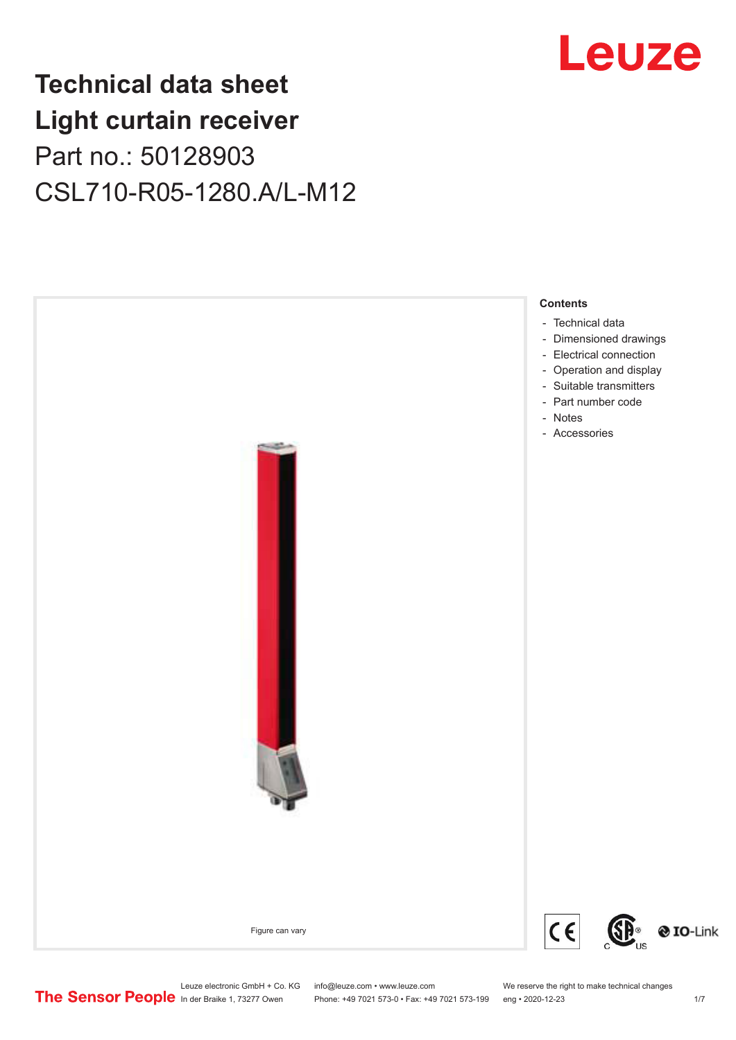## **Technical data sheet Light curtain receiver** Part no.: 50128903 CSL710-R05-1280.A/L-M12



Leuze

Leuze electronic GmbH + Co. KG info@leuze.com • www.leuze.com We reserve the right to make technical changes<br>
The Sensor People in der Braike 1, 73277 Owen Phone: +49 7021 573-0 • Fax: +49 7021 573-199 eng • 2020-12-23

Phone: +49 7021 573-0 • Fax: +49 7021 573-199 eng • 2020-12-23 1 /7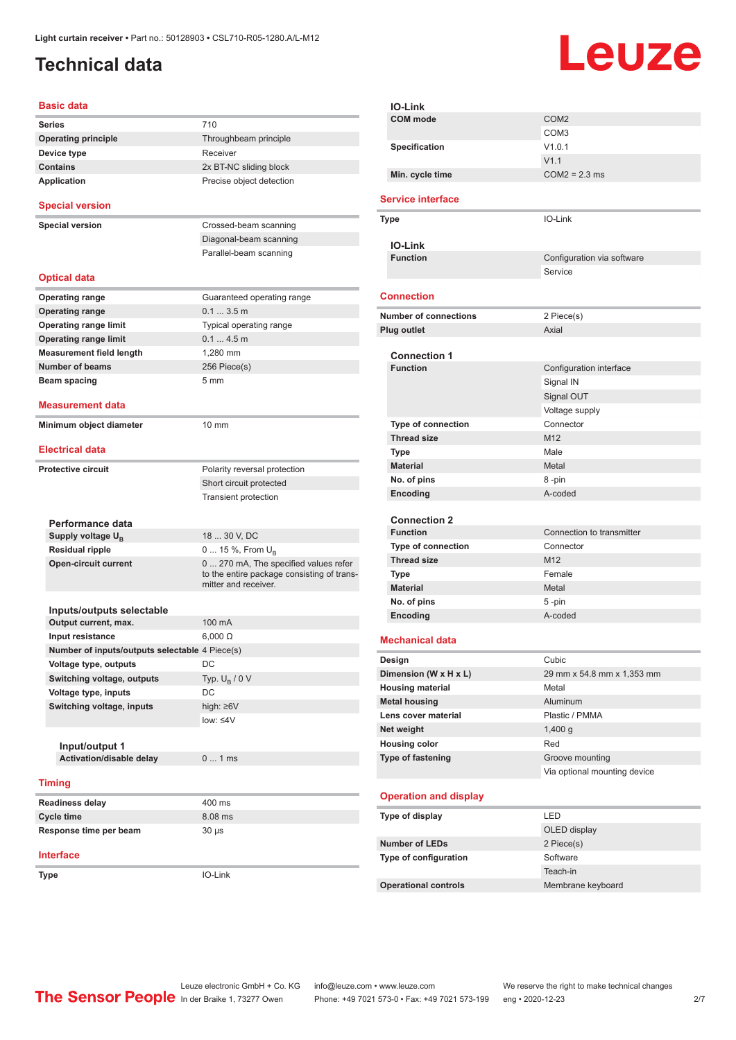## <span id="page-1-0"></span>**Technical data**

# Leuze

| <b>Basic data</b>                              |                                                                                                             |
|------------------------------------------------|-------------------------------------------------------------------------------------------------------------|
| <b>Series</b>                                  | 710                                                                                                         |
| <b>Operating principle</b>                     | Throughbeam principle                                                                                       |
| Device type                                    | Receiver                                                                                                    |
| <b>Contains</b>                                | 2x BT-NC sliding block                                                                                      |
| <b>Application</b>                             | Precise object detection                                                                                    |
| <b>Special version</b>                         |                                                                                                             |
| <b>Special version</b>                         | Crossed-beam scanning                                                                                       |
|                                                | Diagonal-beam scanning                                                                                      |
|                                                | Parallel-beam scanning                                                                                      |
| <b>Optical data</b>                            |                                                                                                             |
| <b>Operating range</b>                         | Guaranteed operating range                                                                                  |
| <b>Operating range</b>                         | 0.13.5m                                                                                                     |
| <b>Operating range limit</b>                   | Typical operating range                                                                                     |
| <b>Operating range limit</b>                   | 0.14.5m                                                                                                     |
|                                                |                                                                                                             |
| <b>Measurement field length</b>                | 1,280 mm                                                                                                    |
| <b>Number of beams</b>                         | 256 Piece(s)                                                                                                |
| <b>Beam spacing</b>                            | 5 <sub>mm</sub>                                                                                             |
| <b>Measurement data</b>                        |                                                                                                             |
| Minimum object diameter                        | $10 \text{ mm}$                                                                                             |
| <b>Electrical data</b>                         |                                                                                                             |
| <b>Protective circuit</b>                      | Polarity reversal protection                                                                                |
|                                                | Short circuit protected                                                                                     |
|                                                | <b>Transient protection</b>                                                                                 |
|                                                |                                                                                                             |
| Performance data                               |                                                                                                             |
| Supply voltage U <sub>R</sub>                  | 18  30 V, DC                                                                                                |
| <b>Residual ripple</b>                         | 0  15 %, From U <sub>B</sub>                                                                                |
| <b>Open-circuit current</b>                    | 0  270 mA, The specified values refer<br>to the entire package consisting of trans-<br>mitter and receiver. |
| Inputs/outputs selectable                      |                                                                                                             |
| Output current, max.                           | 100 mA                                                                                                      |
| Input resistance                               | $6,000 \Omega$                                                                                              |
| Number of inputs/outputs selectable 4 Piece(s) |                                                                                                             |
| Voltage type, outputs                          | DC                                                                                                          |
| Switching voltage, outputs                     | Typ. $U_R / 0 V$                                                                                            |
| Voltage type, inputs                           | DC                                                                                                          |
| Switching voltage, inputs                      | high: $\geq 6V$                                                                                             |
|                                                | low: $\leq 4V$                                                                                              |
|                                                |                                                                                                             |
| Input/output 1                                 |                                                                                                             |
| Activation/disable delay                       | 01ms                                                                                                        |
| <b>Timing</b>                                  |                                                                                                             |
| <b>Readiness delay</b>                         | 400 ms                                                                                                      |
| <b>Cycle time</b>                              | 8.08 ms                                                                                                     |
| Response time per beam                         | $30 \mu s$                                                                                                  |
|                                                |                                                                                                             |
| <b>Interface</b>                               |                                                                                                             |
| Type                                           | IO-Link                                                                                                     |

| IO-Link                      |                              |
|------------------------------|------------------------------|
| <b>COM</b> mode              | COM <sub>2</sub>             |
|                              | COM3                         |
| Specification                | V1.0.1                       |
|                              | V1.1                         |
| Min. cycle time              | $COM2 = 2.3$ ms              |
| <b>Service interface</b>     |                              |
| Type                         | IO-Link                      |
|                              |                              |
| <b>IO-Link</b>               |                              |
| <b>Function</b>              | Configuration via software   |
|                              | Service                      |
| <b>Connection</b>            |                              |
| <b>Number of connections</b> | 2 Piece(s)                   |
| Plug outlet                  | Axial                        |
|                              |                              |
| <b>Connection 1</b>          |                              |
| <b>Function</b>              | Configuration interface      |
|                              | Signal IN                    |
|                              | Signal OUT                   |
| Type of connection           | Voltage supply<br>Connector  |
| <b>Thread size</b>           | M12                          |
| Type                         | Male                         |
| <b>Material</b>              | Metal                        |
| No. of pins                  | 8-pin                        |
| Encoding                     | A-coded                      |
|                              |                              |
| <b>Connection 2</b>          |                              |
| <b>Function</b>              | Connection to transmitter    |
| Type of connection           | Connector                    |
| <b>Thread size</b>           | M <sub>12</sub>              |
| Type                         | Female                       |
| <b>Material</b>              | Metal                        |
| No. of pins                  | 5 -pin                       |
| Encoding                     | A-coded                      |
| <b>Mechanical data</b>       |                              |
| Design                       | Cubic                        |
| Dimension (W x H x L)        | 29 mm x 54.8 mm x 1,353 mm   |
| <b>Housing material</b>      | Metal                        |
| <b>Metal housing</b>         | Aluminum                     |
| Lens cover material          | Plastic / PMMA               |
| Net weight                   | 1,400q                       |
| <b>Housing color</b>         | Red                          |
| Type of fastening            | Groove mounting              |
|                              | Via optional mounting device |
| <b>Operation and display</b> |                              |
| Type of display              | LED                          |
|                              | OLED display                 |
| <b>Number of LEDs</b>        | 2 Piece(s)                   |
| Type of configuration        | Software                     |
|                              | Teach-in                     |
| <b>Operational controls</b>  | Membrane keyboard            |
|                              |                              |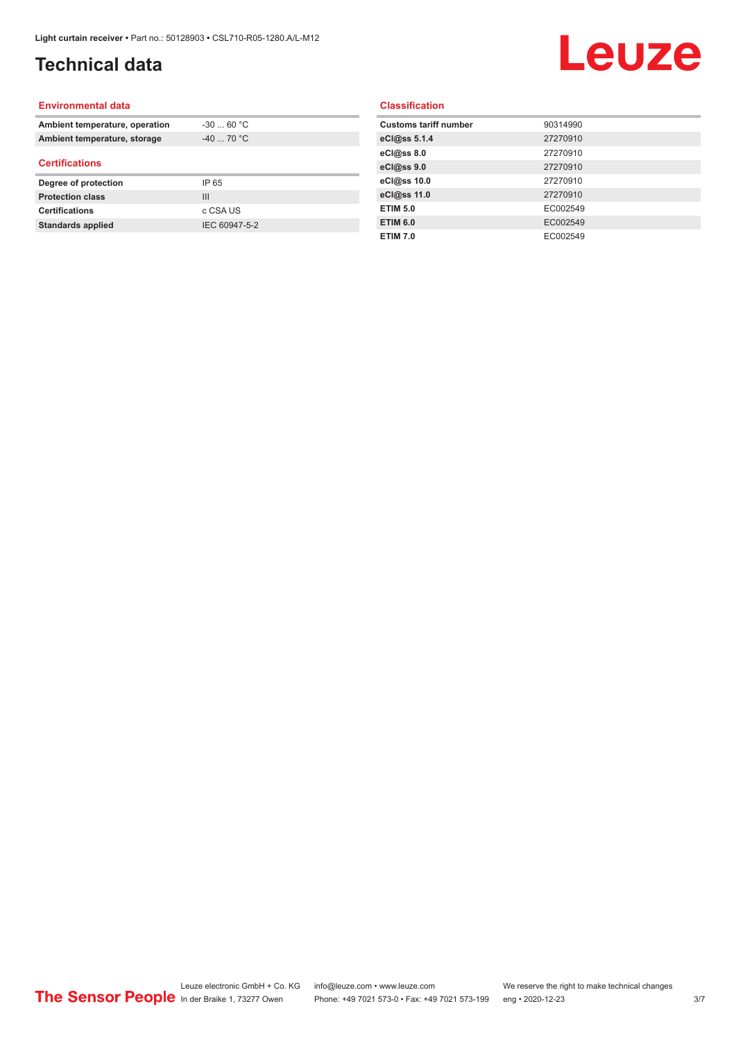## **Technical data**

## Leuze

#### **Environmental data**

| Ambient temperature, operation | $-30$ 60 °C    |  |
|--------------------------------|----------------|--|
| Ambient temperature, storage   | $-40$ 70 °C    |  |
| <b>Certifications</b>          |                |  |
| Degree of protection           | IP 65          |  |
| <b>Protection class</b>        | $\mathbf{III}$ |  |
| <b>Certifications</b>          | c CSA US       |  |
| <b>Standards applied</b>       | IEC 60947-5-2  |  |

#### **Classification**

| <b>Customs tariff number</b> | 90314990 |
|------------------------------|----------|
| eCl@ss 5.1.4                 | 27270910 |
| eCl@ss 8.0                   | 27270910 |
| eCl@ss 9.0                   | 27270910 |
| eCl@ss 10.0                  | 27270910 |
| eCl@ss 11.0                  | 27270910 |
| <b>ETIM 5.0</b>              | EC002549 |
| <b>ETIM 6.0</b>              | EC002549 |
| <b>ETIM 7.0</b>              | EC002549 |
|                              |          |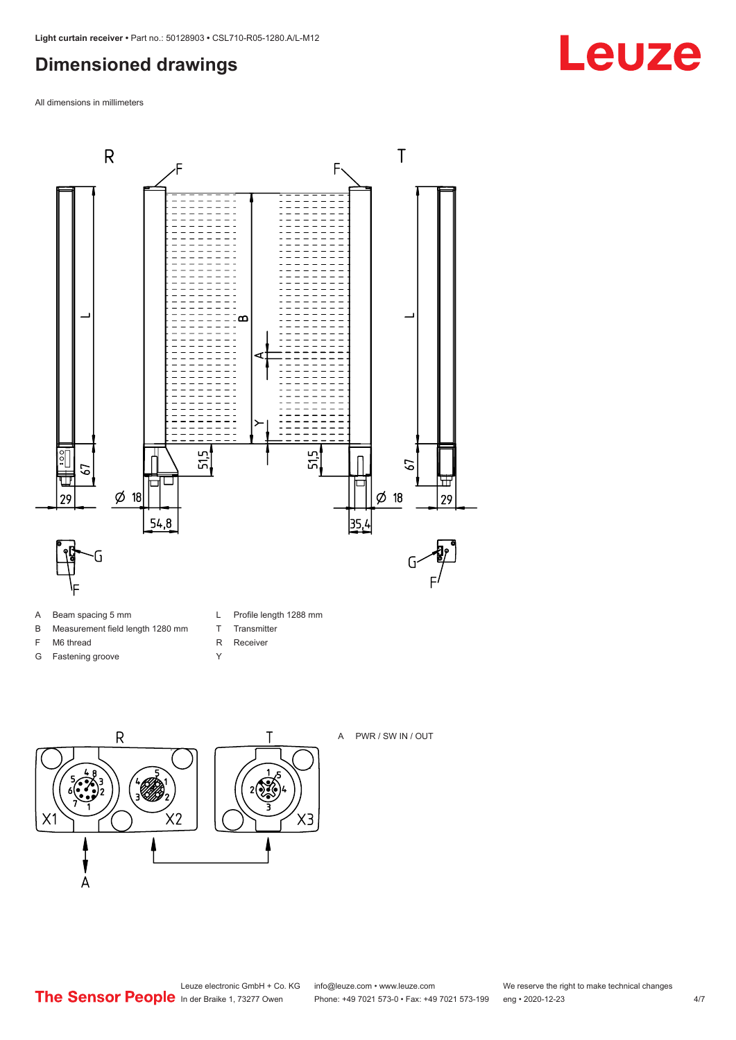## <span id="page-3-0"></span>**Dimensioned drawings**

All dimensions in millimeters



- A Beam spacing 5 mm
- B Measurement field length 1280 mm
- F M6 thread
- G Fastening groove
- L Profile length 1288 mm
- T Transmitter
- R Receiver
- Y





A PWR / SW IN / OUT

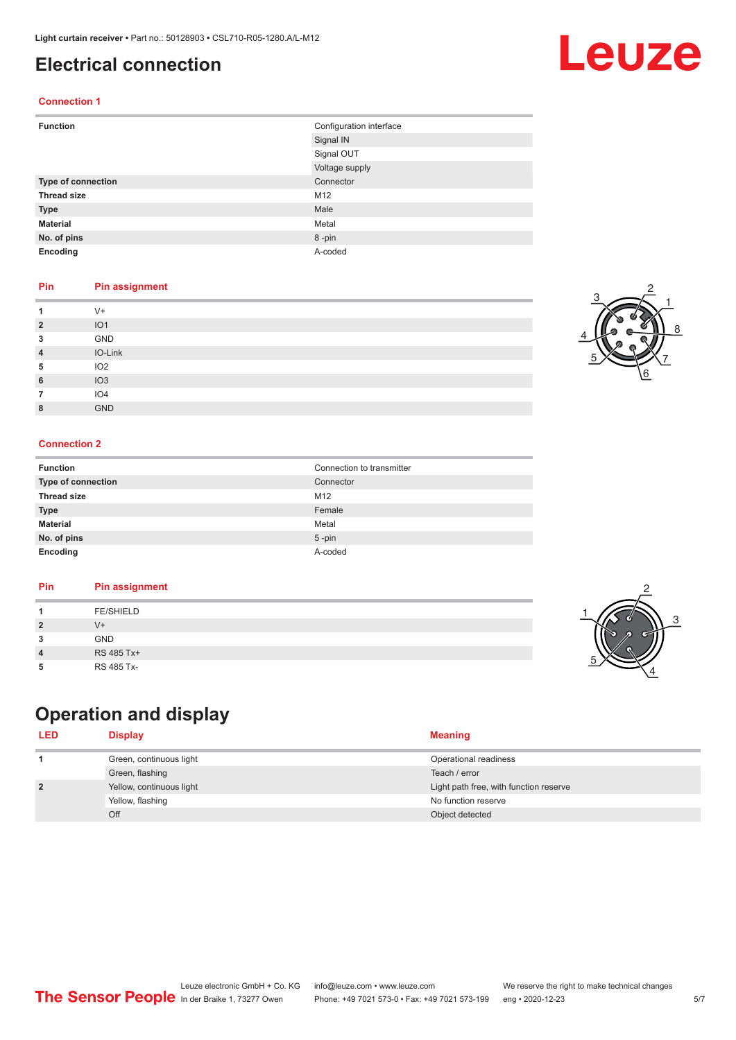### <span id="page-4-0"></span>**Electrical connection**

#### **Connection 1**

| <b>Function</b>    | Configuration interface |
|--------------------|-------------------------|
|                    | Signal IN               |
|                    | Signal OUT              |
|                    | Voltage supply          |
| Type of connection | Connector               |
| <b>Thread size</b> | M12                     |
| <b>Type</b>        | Male                    |
| <b>Material</b>    | Metal                   |
| No. of pins        | 8-pin                   |
| Encoding           | A-coded                 |

#### **Pin Pin assignment**

|                | $V +$           |
|----------------|-----------------|
| $\overline{2}$ | IO <sub>1</sub> |
| 3              | GND             |
| 4              | IO-Link         |
| 5              | IO <sub>2</sub> |
| 6              | IO3             |
|                | IO <sub>4</sub> |
| 8              | <b>GND</b>      |

#### **Connection 2**

| <b>Function</b>    | Connection to transmitter |
|--------------------|---------------------------|
| Type of connection | Connector                 |
| <b>Thread size</b> | M12                       |
| <b>Type</b>        | Female                    |
| <b>Material</b>    | Metal                     |
| No. of pins        | $5 - pin$                 |
| Encoding           | A-coded                   |

#### **Pin Pin assignment**

## **Operation and display**

| <b>LED</b>     | Display                  | <b>Meaning</b>                         |
|----------------|--------------------------|----------------------------------------|
|                | Green, continuous light  | Operational readiness                  |
|                | Green, flashing          | Teach / error                          |
| $\overline{2}$ | Yellow, continuous light | Light path free, with function reserve |
|                | Yellow, flashing         | No function reserve                    |
|                | Off                      | Object detected                        |





3

2

4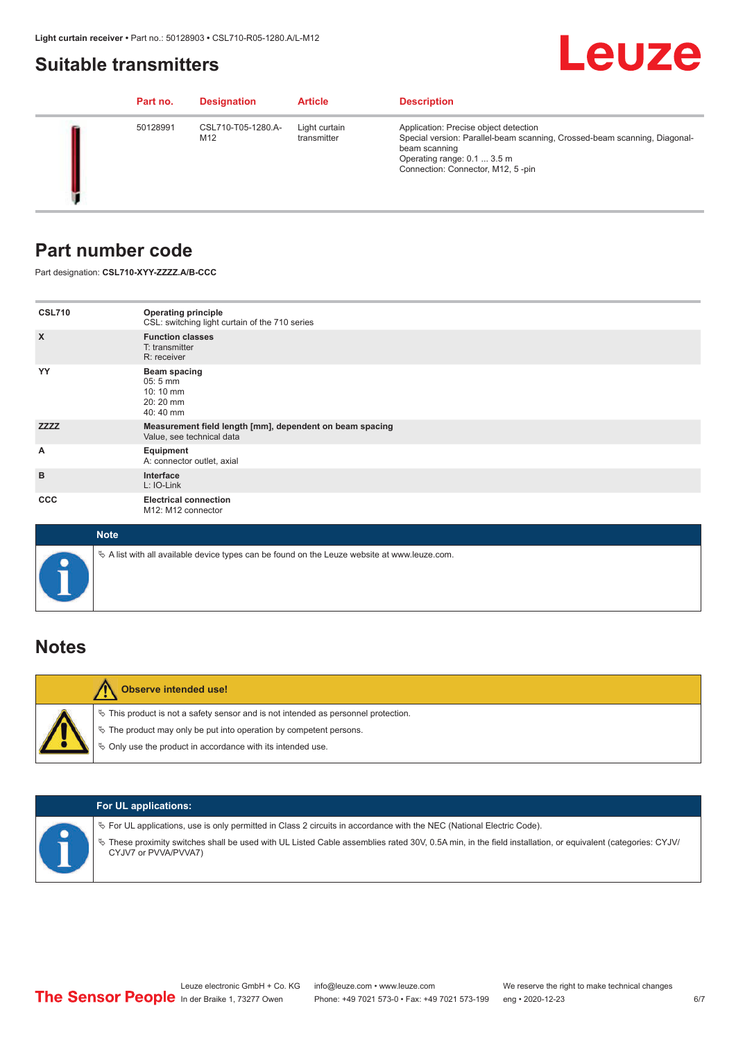### <span id="page-5-0"></span>**Suitable transmitters**

## Leuze

|  | Part no. | <b>Designation</b>        | <b>Article</b>               | <b>Description</b>                                                                                                                                                                                      |
|--|----------|---------------------------|------------------------------|---------------------------------------------------------------------------------------------------------------------------------------------------------------------------------------------------------|
|  | 50128991 | CSL710-T05-1280.A-<br>M12 | Light curtain<br>transmitter | Application: Precise object detection<br>Special version: Parallel-beam scanning, Crossed-beam scanning, Diagonal-<br>beam scanning<br>Operating range: 0.1  3.5 m<br>Connection: Connector, M12, 5-pin |

### **Part number code**

Part designation: **CSL710-XYY-ZZZZ.A/B-CCC**

| <b>CSL710</b>             | <b>Operating principle</b><br>CSL: switching light curtain of the 710 series               |
|---------------------------|--------------------------------------------------------------------------------------------|
| $\boldsymbol{\mathsf{X}}$ | <b>Function classes</b><br>T: transmitter<br>R: receiver                                   |
| YY                        | <b>Beam spacing</b><br>$05:5 \, \text{mm}$<br>$10:10 \, \text{mm}$<br>20:20 mm<br>40:40 mm |
| <b>ZZZZ</b>               | Measurement field length [mm], dependent on beam spacing<br>Value, see technical data      |
| Α                         | Equipment<br>A: connector outlet, axial                                                    |
| B                         | Interface<br>L: IO-Link                                                                    |
| <b>CCC</b>                | <b>Electrical connection</b><br>M12: M12 connector                                         |

| <b>Note</b>                                                                                       |
|---------------------------------------------------------------------------------------------------|
| Vector A list with all available device types can be found on the Leuze website at www.leuze.com. |

## **Notes**

| <b>Observe intended use!</b>                                                                                                                                                                                                     |
|----------------------------------------------------------------------------------------------------------------------------------------------------------------------------------------------------------------------------------|
| $\%$ This product is not a safety sensor and is not intended as personnel protection.<br>$\%$ The product may only be put into operation by competent persons.<br>$\%$ Only use the product in accordance with its intended use. |

|  | <b>For UL applications:</b>                                                                                                                                                                                                                                                                   |
|--|-----------------------------------------------------------------------------------------------------------------------------------------------------------------------------------------------------------------------------------------------------------------------------------------------|
|  | $\%$ For UL applications, use is only permitted in Class 2 circuits in accordance with the NEC (National Electric Code).<br>These proximity switches shall be used with UL Listed Cable assemblies rated 30V, 0.5A min, in the field installation, or equivalent (categories: CYJV/<br>$\phi$ |
|  | CYJV7 or PVVA/PVVA7)                                                                                                                                                                                                                                                                          |